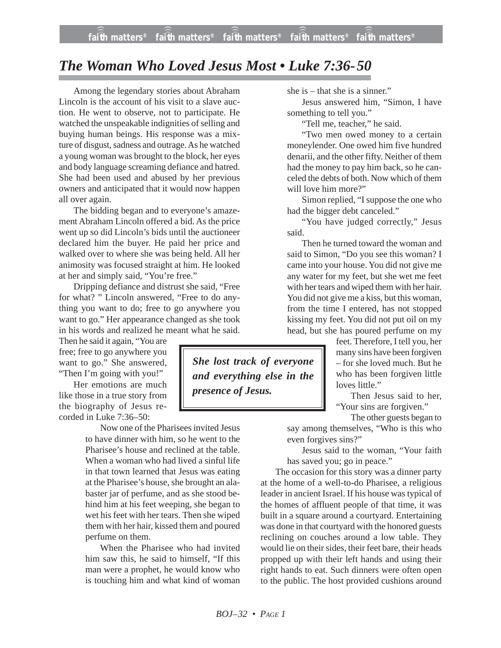*BOJ–32 • PAGE 1*

## *The Woman Who Loved Jesus Most • Luke 7:36-50*

Among the legendary stories about Abraham Lincoln is the account of his visit to a slave auction. He went to observe, not to participate. He watched the unspeakable indignities of selling and buying human beings. His response was a mixture of disgust, sadness and outrage. As he watched a young woman was brought to the block, her eyes and body language screaming defiance and hatred. She had been used and abused by her previous owners and anticipated that it would now happen all over again.

The bidding began and to everyone's amazement Abraham Lincoln offered a bid. As the price went up so did Lincoln's bids until the auctioneer declared him the buyer. He paid her price and walked over to where she was being held. All her animosity was focused straight at him. He looked at her and simply said, "You're free."

Dripping defiance and distrust she said, "Free for what? " Lincoln answered, "Free to do anything you want to do; free to go anywhere you want to go." Her appearance changed as she took in his words and realized he meant what he said.

Then he said it again, "You are free; free to go anywhere you want to go." She answered, "Then I'm going with you!"

Her emotions are much like those in a true story from the biography of Jesus recorded in Luke 7:36–50:

> Now one of the Pharisees invited Jesus to have dinner with him, so he went to the Pharisee's house and reclined at the table. When a woman who had lived a sinful life in that town learned that Jesus was eating at the Pharisee's house, she brought an alabaster jar of perfume, and as she stood behind him at his feet weeping, she began to wet his feet with her tears. Then she wiped them with her hair, kissed them and poured perfume on them.

> When the Pharisee who had invited him saw this, he said to himself, "If this man were a prophet, he would know who is touching him and what kind of woman

she is – that she is a sinner."

Jesus answered him, "Simon, I have something to tell you."

"Tell me, teacher," he said.

"Two men owed money to a certain moneylender. One owed him five hundred denarii, and the other fifty. Neither of them had the money to pay him back, so he canceled the debts of both. Now which of them will love him more?"

Simon replied, "I suppose the one who had the bigger debt canceled."

"You have judged correctly," Jesus said.

Then he turned toward the woman and said to Simon, "Do you see this woman? I came into your house. You did not give me any water for my feet, but she wet me feet with her tears and wiped them with her hair. You did not give me a kiss, but this woman, from the time I entered, has not stopped kissing my feet. You did not put oil on my head, but she has poured perfume on my

feet. Therefore, I tell you, her many sins have been forgiven – for she loved much. But he who has been forgiven little loves little."

Then Jesus said to her, "Your sins are forgiven."

The other guests began to say among themselves, "Who is this who even forgives sins?"

Jesus said to the woman, "Your faith has saved you; go in peace."

The occasion for this story was a dinner party at the home of a well-to-do Pharisee, a religious leader in ancient Israel. If his house was typical of the homes of affluent people of that time, it was built in a square around a courtyard. Entertaining was done in that courtyard with the honored guests reclining on couches around a low table. They would lie on their sides, their feet bare, their heads propped up with their left hands and using their right hands to eat. Such dinners were often open to the public. The host provided cushions around

*She lost track of everyone and everything else in the presence of Jesus.*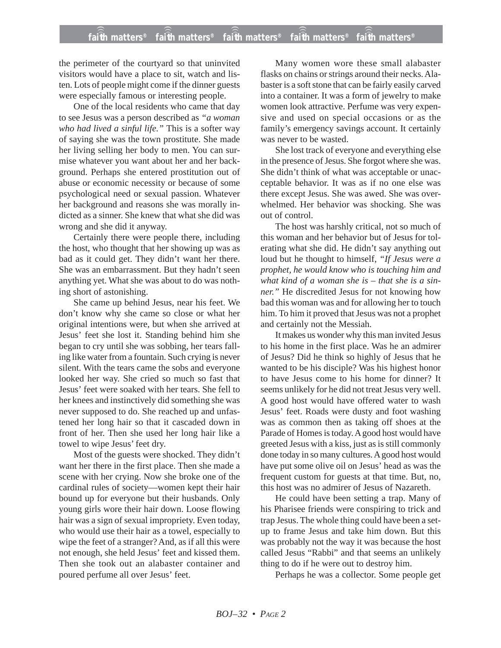## **faith matters® faith matters® faith matters® faith matters® faith matters®** ))) ))) ))) ))) )))

the perimeter of the courtyard so that uninvited visitors would have a place to sit, watch and listen. Lots of people might come if the dinner guests were especially famous or interesting people.

One of the local residents who came that day to see Jesus was a person described as *"a woman who had lived a sinful life."* This is a softer way of saying she was the town prostitute. She made her living selling her body to men. You can surmise whatever you want about her and her background. Perhaps she entered prostitution out of abuse or economic necessity or because of some psychological need or sexual passion. Whatever her background and reasons she was morally indicted as a sinner. She knew that what she did was wrong and she did it anyway.

Certainly there were people there, including the host, who thought that her showing up was as bad as it could get. They didn't want her there. She was an embarrassment. But they hadn't seen anything yet. What she was about to do was nothing short of astonishing.

She came up behind Jesus, near his feet. We don't know why she came so close or what her original intentions were, but when she arrived at Jesus' feet she lost it. Standing behind him she began to cry until she was sobbing, her tears falling like water from a fountain. Such crying is never silent. With the tears came the sobs and everyone looked her way. She cried so much so fast that Jesus' feet were soaked with her tears. She fell to her knees and instinctively did something she was never supposed to do. She reached up and unfastened her long hair so that it cascaded down in front of her. Then she used her long hair like a towel to wipe Jesus' feet dry.

Most of the guests were shocked. They didn't want her there in the first place. Then she made a scene with her crying. Now she broke one of the cardinal rules of society—women kept their hair bound up for everyone but their husbands. Only young girls wore their hair down. Loose flowing hair was a sign of sexual impropriety. Even today, who would use their hair as a towel, especially to wipe the feet of a stranger? And, as if all this were not enough, she held Jesus' feet and kissed them. Then she took out an alabaster container and poured perfume all over Jesus' feet.

Many women wore these small alabaster flasks on chains or strings around their necks. Alabaster is a soft stone that can be fairly easily carved into a container. It was a form of jewelry to make women look attractive. Perfume was very expensive and used on special occasions or as the family's emergency savings account. It certainly was never to be wasted.

She lost track of everyone and everything else in the presence of Jesus. She forgot where she was. She didn't think of what was acceptable or unacceptable behavior. It was as if no one else was there except Jesus. She was awed. She was overwhelmed. Her behavior was shocking. She was out of control.

The host was harshly critical, not so much of this woman and her behavior but of Jesus for tolerating what she did. He didn't say anything out loud but he thought to himself, *"If Jesus were a prophet, he would know who is touching him and what kind of a woman she is – that she is a sinner."* He discredited Jesus for not knowing how bad this woman was and for allowing her to touch him. To him it proved that Jesus was not a prophet and certainly not the Messiah.

It makes us wonder why this man invited Jesus to his home in the first place. Was he an admirer of Jesus? Did he think so highly of Jesus that he wanted to be his disciple? Was his highest honor to have Jesus come to his home for dinner? It seems unlikely for he did not treat Jesus very well. A good host would have offered water to wash Jesus' feet. Roads were dusty and foot washing was as common then as taking off shoes at the Parade of Homes is today. A good host would have greeted Jesus with a kiss, just as is still commonly done today in so many cultures. A good host would have put some olive oil on Jesus' head as was the frequent custom for guests at that time. But, no, this host was no admirer of Jesus of Nazareth.

He could have been setting a trap. Many of his Pharisee friends were conspiring to trick and trap Jesus. The whole thing could have been a setup to frame Jesus and take him down. But this was probably not the way it was because the host called Jesus "Rabbi" and that seems an unlikely thing to do if he were out to destroy him.

Perhaps he was a collector. Some people get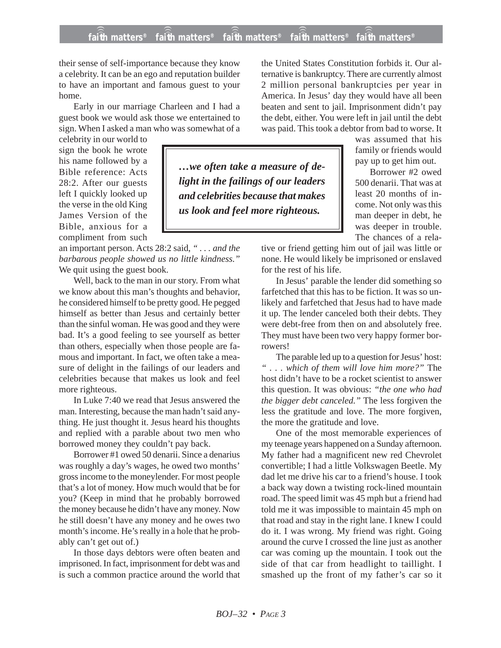## **faith matters® faith matters® faith matters® faith matters® faith matters®** ))) ))) ))) ))) )))

their sense of self-importance because they know a celebrity. It can be an ego and reputation builder to have an important and famous guest to your home.

Early in our marriage Charleen and I had a guest book we would ask those we entertained to sign. When I asked a man who was somewhat of a

celebrity in our world to sign the book he wrote his name followed by a Bible reference: Acts 28:2. After our guests left I quickly looked up the verse in the old King James Version of the Bible, anxious for a compliment from such

an important person. Acts 28:2 said, *" . . . and the barbarous people showed us no little kindness."* We quit using the guest book.

Well, back to the man in our story. From what we know about this man's thoughts and behavior, he considered himself to be pretty good. He pegged himself as better than Jesus and certainly better than the sinful woman. He was good and they were bad. It's a good feeling to see yourself as better than others, especially when those people are famous and important. In fact, we often take a measure of delight in the failings of our leaders and celebrities because that makes us look and feel more righteous.

In Luke 7:40 we read that Jesus answered the man. Interesting, because the man hadn't said anything. He just thought it. Jesus heard his thoughts and replied with a parable about two men who borrowed money they couldn't pay back.

Borrower #1 owed 50 denarii. Since a denarius was roughly a day's wages, he owed two months' gross income to the moneylender. For most people that's a lot of money. How much would that be for you? (Keep in mind that he probably borrowed the money because he didn't have any money. Now he still doesn't have any money and he owes two month's income. He's really in a hole that he probably can't get out of.)

In those days debtors were often beaten and imprisoned. In fact, imprisonment for debt was and is such a common practice around the world that

*…we often take a measure of delight in the failings of our leaders and celebrities because that makes us look and feel more righteous.*

the United States Constitution forbids it. Our alternative is bankruptcy. There are currently almost 2 million personal bankruptcies per year in America. In Jesus' day they would have all been beaten and sent to jail. Imprisonment didn't pay the debt, either. You were left in jail until the debt was paid. This took a debtor from bad to worse. It

> was assumed that his family or friends would pay up to get him out.

Borrower #2 owed 500 denarii. That was at least 20 months of income. Not only was this man deeper in debt, he was deeper in trouble. The chances of a rela-

tive or friend getting him out of jail was little or none. He would likely be imprisoned or enslaved for the rest of his life.

In Jesus' parable the lender did something so farfetched that this has to be fiction. It was so unlikely and farfetched that Jesus had to have made it up. The lender canceled both their debts. They were debt-free from then on and absolutely free. They must have been two very happy former borrowers!

The parable led up to a question for Jesus' host: *" . . . which of them will love him more?"* The host didn't have to be a rocket scientist to answer this question. It was obvious: *"the one who had the bigger debt canceled."* The less forgiven the less the gratitude and love. The more forgiven, the more the gratitude and love.

One of the most memorable experiences of my teenage years happened on a Sunday afternoon. My father had a magnificent new red Chevrolet convertible; I had a little Volkswagen Beetle. My dad let me drive his car to a friend's house. I took a back way down a twisting rock-lined mountain road. The speed limit was 45 mph but a friend had told me it was impossible to maintain 45 mph on that road and stay in the right lane. I knew I could do it. I was wrong. My friend was right. Going around the curve I crossed the line just as another car was coming up the mountain. I took out the side of that car from headlight to taillight. I smashed up the front of my father's car so it